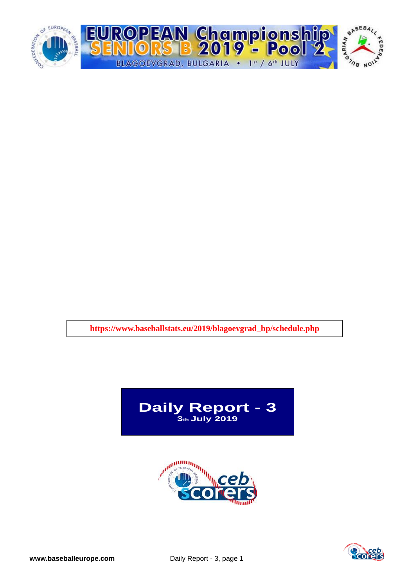

**https://www.baseballstats.eu/2019/blagoevgrad\_bp/schedule.php**





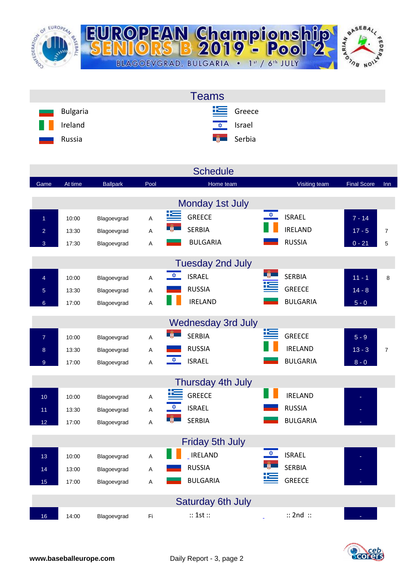

|                                | <b>Teams</b>              |
|--------------------------------|---------------------------|
| Bulgaria<br><b>The Company</b> | $E$ Greece                |
| H<br>Ireland                   | <u><del>↓</del> srael</u> |
| Russia<br>ـــ                  | <b>External</b> Serbia    |

|                 |         |                 |      | <b>Schedule</b>                       |                                |                    |                |
|-----------------|---------|-----------------|------|---------------------------------------|--------------------------------|--------------------|----------------|
| Game            | At time | <b>Ballpark</b> | Pool | Home team                             | Visiting team                  | <b>Final Score</b> | Inn            |
|                 |         |                 |      | Monday 1st July                       |                                |                    |                |
| $\overline{1}$  | 10:00   | Blagoevgrad     | A    | <u>اتكا</u><br><b>GREECE</b>          | $\frac{1}{2}$<br><b>ISRAEL</b> | $7 - 14$           |                |
| $\overline{a}$  | 13:30   | Blagoevgrad     | A    | <b>SERBIA</b>                         | <b>IRELAND</b>                 | $17 - 5$           | $\overline{7}$ |
| 3               | 17:30   | Blagoevgrad     | Α    | <b>BULGARIA</b>                       | <b>RUSSIA</b>                  | $0 - 21$           | 5              |
|                 |         |                 |      |                                       |                                |                    |                |
|                 |         |                 |      | <b>Tuesday 2nd July</b>               |                                |                    |                |
| $\overline{4}$  | 10:00   | Blagoevgrad     | A    | $\frac{1}{\sqrt{2}}$<br><b>ISRAEL</b> | <b>SERBIA</b>                  | $11 - 1$           | 8              |
| 5               | 13:30   | Blagoevgrad     | Α    | <b>RUSSIA</b>                         | <b>GREECE</b>                  | $14 - 8$           |                |
| $6\overline{6}$ | 17:00   | Blagoevgrad     | A    | <b>IRELAND</b>                        | <b>BULGARIA</b>                | $5 - 0$            |                |
|                 |         |                 |      | <b>Wednesday 3rd July</b>             |                                |                    |                |
| $\overline{7}$  | 10:00   | Blagoevgrad     | A    | <b>SERBIA</b>                         | 医<br><b>GREECE</b>             | $5 - 9$            |                |
| 8               | 13:30   | Blagoevgrad     | Α    | <b>RUSSIA</b>                         | <b>IRELAND</b>                 | $13 - 3$           | $\overline{7}$ |
| $\overline{9}$  | 17:00   | Blagoevgrad     | A    | $\frac{1}{2}$<br><b>ISRAEL</b>        | <b>BULGARIA</b>                | $8 - 0$            |                |
|                 |         |                 |      | Thursday 4th July                     |                                |                    |                |
| 10 <sub>1</sub> | 10:00   | Blagoevgrad     | A    | <b>GREECE</b>                         | <b>IRELAND</b>                 |                    |                |
| 11              | 13:30   | Blagoevgrad     | А    | <b>ISRAEL</b>                         | <b>RUSSIA</b>                  |                    |                |
| 12              | 17:00   | Blagoevgrad     | A    | <b>SERBIA</b>                         | <b>BULGARIA</b>                |                    |                |
|                 |         |                 |      |                                       |                                |                    |                |
|                 |         |                 |      | <b>Friday 5th July</b>                |                                |                    |                |
| 13              | 10:00   | Blagoevgrad     | А    | <b>IRELAND</b>                        | <b>ISRAEL</b>                  |                    |                |
| 14              | 13:00   | Blagoevgrad     | A    | <b>RUSSIA</b>                         | <b>SERBIA</b>                  |                    |                |
| 15              | 17:00   | Blagoevgrad     | A    | <b>BULGARIA</b>                       | <b>GREECE</b>                  |                    |                |
|                 |         |                 |      | <b>Saturday 6th July</b>              |                                |                    |                |
| 16              | 14:00   | Blagoevgrad     | Fi   | :: 1st ::                             | $::$ 2nd $::$                  |                    |                |

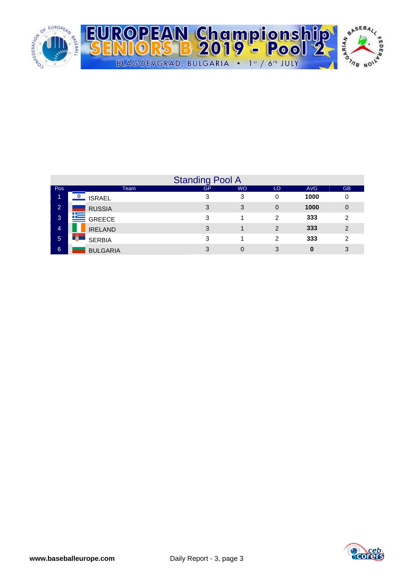

|                |                      | <b>Standing Pool A</b> |           |    |            |                |
|----------------|----------------------|------------------------|-----------|----|------------|----------------|
| Pos            | Team                 | <b>GP</b>              | <b>WO</b> | LO | <b>AVG</b> | <b>GB</b>      |
| ъ              | <b>ISRAEL</b>        | 3                      | 3         | 0  | 1000       | 0              |
| $\overline{2}$ | <b>RUSSIA</b>        | 3                      | 3         | 0  | 1000       | 0              |
| 3              | <b>E</b> GREECE      | 3                      |           | 2  | 333        | 2              |
| 4              | <b>IRELAND</b>       | 3                      |           | 2  | 333        | $\overline{2}$ |
| 5              | -10<br><b>SERBIA</b> | 3                      |           | 2  | 333        | 2              |
| 6              | <b>BULGARIA</b>      | 3                      | 0         | 3  | 0          | 3              |

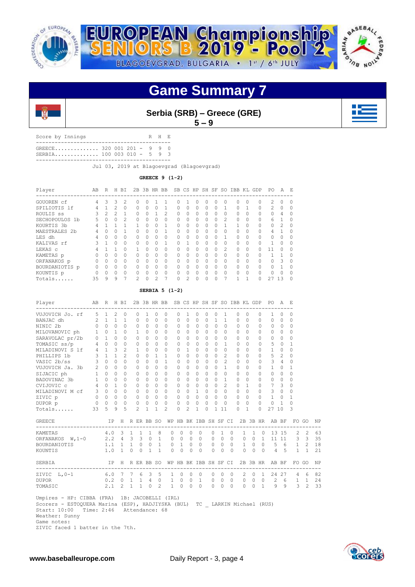



**Game Summary 7**



**Serbia (SRB) – Greece (GRE)**

**5 – 9**

Score by Innings R H E ------------------------------------------- GREECE.............. 320 001 201 - 9 9 0 SERBIA.............. 100 003 010 - 5 9 3

-------------------------------------------

Jul 03, 2019 at Blagoevgrad (Blagoevgrad)

**GREECE 9 (1-2)**

| Player         | AB       | R              | H.            | BI             | 2B            |           | 3B HR BB |   |          |          | SB CS HP | SH SF     |          | SO.           | <b>TBB</b> |          | KI GDP<br>------------------- | PO.           | A              | E.       |
|----------------|----------|----------------|---------------|----------------|---------------|-----------|----------|---|----------|----------|----------|-----------|----------|---------------|------------|----------|-------------------------------|---------------|----------------|----------|
| GOUOREN cf     | 4        | 3              | 3             |                | $\Omega$      |           |          |   |          |          | Ω        | U         | $\Omega$ |               | 0          | 0        | $\Omega$                      | $\mathcal{L}$ | $\Omega$       |          |
| SPILIOTIS 1f   | 4        |                | $\mathcal{L}$ | $\Omega$       | $\Omega$      | $\Omega$  | 0        |   | $\Omega$ | $\Omega$ | 0        | $\Omega$  | $\Omega$ |               | $\Omega$   |          | $\Omega$                      | $\mathcal{L}$ | $\Omega$       | $\Omega$ |
| ROULIS SS      | Κ        | $\mathfrak{D}$ | $\mathcal{P}$ | 1              | $\Omega$      | $\bigcap$ |          | 2 | $\Omega$ | $\Omega$ | O        | $\Omega$  | $\Omega$ | $\Omega$      | $\Omega$   | $\Omega$ | $\Omega$                      | $\Omega$      | 4              |          |
| SECHOPOULOS 1b | 5        | $\Omega$       | $\Omega$      | $\mathfrak{D}$ | $\Omega$      | $\Omega$  | $\Omega$ | 0 | $\Omega$ | $\Omega$ | 0        | $\Omega$  | $\Omega$ | $\mathcal{L}$ | $\Omega$   | $\Omega$ | 0                             | 6             |                |          |
| KOURTIS 3b     | 4        |                |               |                |               | $\Omega$  | 0        |   | $\Omega$ | $\Omega$ | 0        | $\Omega$  | 0        |               | 1          | $\Omega$ | $\Omega$                      | $\Omega$      | $\mathfrak{D}$ |          |
| MAESTRALES 2b  | 4        | U              | 0             |                | $\Omega$      | $\bigcap$ | $\Omega$ |   | $\Omega$ | $\Omega$ | $\Omega$ | $\bigcap$ | $\Omega$ | $\Omega$      | $\Omega$   | $\Omega$ | $\Omega$                      | 4             |                | $\cap$   |
| LES dh         |          |                | $\Omega$      | $\Omega$       | $\Omega$      | $\bigcap$ | $\Omega$ | 0 | 0        | $\Omega$ | O        | $\Omega$  | $\Omega$ |               | $\Omega$   | $\Omega$ | $\Omega$                      | 0             | $\Omega$       |          |
| KALIVAS rf     |          |                | $\Omega$      | $\Omega$       | $\Omega$      | $\Omega$  | 0        |   | 0        |          | O        | $\Omega$  | $\Omega$ | $\Omega$      | $\Omega$   | $\Omega$ | $\Omega$                      |               | $\Omega$       |          |
| LEKAS C        | 4        |                |               | $\Omega$       |               | $\bigcap$ | $\Omega$ | 0 | $\Omega$ | $\Omega$ | $\Omega$ | $\bigcap$ | $\Omega$ | $\mathcal{L}$ | $\Omega$   | $\Omega$ | $\cap$                        | 11            | $\Omega$       | $\Omega$ |
| KAMETAS p      |          |                | $\Omega$      | $\Omega$       | $\Omega$      | $\bigcap$ | $\Omega$ | 0 | $\Omega$ | $\Omega$ | O        | $\cap$    | $\Omega$ | $\cap$        | $\Omega$   | $\Omega$ | $\Omega$                      |               | $\mathbf{1}$   |          |
| ORFANAKOS p    | $\Omega$ | $\Omega$       | $\Omega$      | $\Omega$       | $\Omega$      | $\bigcap$ | $\Omega$ | 0 | $\Omega$ | $\Omega$ | $\Omega$ | $\Omega$  | $\Omega$ | $\Omega$      | $\Omega$   | $\Omega$ | $\Omega$                      | $\Omega$      | 3              |          |
| BOURDANIOTIS p | 0        | $\cap$         | $\Omega$      | $\Omega$       | $\Omega$      | $\bigcap$ | $\Omega$ | 0 | $\Omega$ | $\Omega$ | 0        | $\bigcap$ | $\Omega$ | $\Omega$      | $\Omega$   | $\Omega$ | $\Omega$                      | $\cap$        |                |          |
| KOUNTIS p      | $\Omega$ | ∩              | $\Omega$      | $\Omega$       | $\Omega$      | $\cap$    | $\Omega$ | 0 | $\Omega$ | $\Omega$ | $\Omega$ | $\cap$    | $\Omega$ | $\Omega$      | $\Omega$   | $\Omega$ | $\cap$                        | $\cap$        | $\Omega$       |          |
| Totals         | 35       | 9              | 9             | 7              | $\mathcal{P}$ |           | 2        | 7 | $\Omega$ | 2        | Ω        | O         | ∩        |               |            |          | O                             | 27            | 13             |          |

#### **SERBIA 5 (1-2)**

| Player<br>------------------------------                                                                                                                                                                                                                                                                                 |    |                          |         |                 |                |                                                    |                | AB R H BI 2B 3B HR BB SB CS HP SH SF SO IBB KL GDP PO A E |                      |                |              |              |                |                     |             |               |                |          |                   | ---------------- |                |                       |              |    |
|--------------------------------------------------------------------------------------------------------------------------------------------------------------------------------------------------------------------------------------------------------------------------------------------------------------------------|----|--------------------------|---------|-----------------|----------------|----------------------------------------------------|----------------|-----------------------------------------------------------|----------------------|----------------|--------------|--------------|----------------|---------------------|-------------|---------------|----------------|----------|-------------------|------------------|----------------|-----------------------|--------------|----|
| VUJOVICH Jo. rf 5 1                                                                                                                                                                                                                                                                                                      |    |                          | 2       | $\circ$         | $\circ$        | $\mathbf{1}$                                       | $\circ$        | $\circ$                                                   | $\Omega$             | $\mathbf{1}$   | $\circ$      | $\circ$      | $\circ$        | $\mathbf{1}$        |             | $\circ$       | $\Omega$       |          | $\circ$           | $\mathbf{1}$     | $\circ$        | $\Omega$              |              |    |
| BANJAC dh $2 \quad 1 \quad 1$                                                                                                                                                                                                                                                                                            |    |                          |         | $\overline{1}$  | $\Omega$       | $\Omega$                                           | $\Omega$       | $\Omega$                                                  | $\Omega$             | $\Omega$       | $\Omega$     | $\Omega$     | $\overline{1}$ | $\mathbf{1}$        |             | $\Omega$      | $\bigcirc$     |          | $\Omega$          | $\Omega$         | $\bigcirc$     | $\Omega$              |              |    |
| NINIC 2b                                                                                                                                                                                                                                                                                                                 |    | $0 \quad 0 \quad 0$      |         | $\Omega$        | $\circ$        | $\Omega$                                           | $\overline{0}$ | $\Omega$                                                  | $\Omega$             | $\Omega$       | $\Omega$     | $\Omega$     | $\Omega$       | $\Omega$            |             | $\Omega$      | $\bigcirc$     |          | $\Omega$          | $\Omega$         | $\bigcirc$     | $\Omega$              |              |    |
|                                                                                                                                                                                                                                                                                                                          |    |                          |         | $\circ$         | $\mathbf{1}$   | $\Omega$                                           | $\circ$        | 0                                                         | $\Omega$             | $\Omega$       | $\circ$      | $\Omega$     | $\Omega$       | $\Omega$            |             | $\Omega$      | $\bigcirc$     |          | $\Omega$          | $\Omega$         | $\overline{0}$ | $\Omega$              |              |    |
| MILOVANOVIC ph<br>SARAVOLAC pr/2b<br>TOMASIC ss/p<br>$\begin{array}{ccc} 4 & 0 & 1 \\ 4 & 0 & 0 \\ 1 & 0 & 0 \\ 0 & 0 & 1 \\ 0 & 0 & 1 \\ 0 & 0 & 0 \\ 0 & 0 & 0 \\ 0 & 0 & 0 \\ 0 & 0 & 0 \\ 0 & 0 & 0 \\ 0 & 0 & 0 \\ 0 & 0 & 0 \\ 0 & 0 & 0 \\ 0 & 0 & 0 \\ 0 & 0 & 0 \\ 0 & 0 & 0 \\ 0 & 0 & 0 \\ 0 & 0 & 0 \\ 0 & $ |    |                          |         | $\Omega$        | $\Omega$       | $\bigcirc$                                         | $\Omega$       | $\Omega$                                                  | $\Omega$             | $\Omega$       | $\Omega$     | $\Omega$     | $\Omega$       | $\Omega$            |             | $\Omega$      | $\bigcirc$     |          | $\Omega$          | $\Omega$         | $\bigcirc$     | $\Omega$              |              |    |
|                                                                                                                                                                                                                                                                                                                          |    |                          |         | $\Omega$        | $\circ$        | $\bigcirc$                                         | $\Omega$       | $\Omega$                                                  | $\Omega$             | $\Omega$       | $\Omega$     | $\Omega$     | $\bigcirc$     | $\mathbf{1}$        |             | $\Omega$      | $\bigcirc$     |          | $\Omega$          | 50               |                | $\mathbf{1}$          |              |    |
| $1f$ 4 1 3 2<br>3 1 1 2<br>MILADINOVI S 1f                                                                                                                                                                                                                                                                               |    |                          |         |                 | $\overline{1}$ | $\Omega$                                           | $\Omega$       | $\Omega$                                                  | $\Omega$             | $\overline{1}$ | $\Omega$     | $\Omega$     | $\Omega$       | $\Omega$            |             | $\Omega$      | $\bigcirc$     |          | $\Omega$          | $1 \quad 0$      |                | $\Omega$              |              |    |
| PHILLIPS 1b                                                                                                                                                                                                                                                                                                              |    |                          |         |                 | $\circ$        | $\bigcirc$                                         | $1 \quad 1$    |                                                           | $\Omega$             | $\Omega$       | $\Omega$     | $\Omega$     | $\Omega$       | $\mathfrak{D}$      |             | $\Omega$      | $\bigcirc$     |          | $\Omega$          | 5 <sub>2</sub>   |                | $\Omega$              |              |    |
| VASIC $2b/ss$ 3 0 0                                                                                                                                                                                                                                                                                                      |    |                          |         | $\Omega$        | $\Omega$       | $\Omega$                                           | $\Omega$       | $\mathbf{1}$                                              | $\bigcap$            | $\cap$         | $\Omega$     | $\Omega$     | $\Omega$       | $\mathfrak{D}$      |             | $\cap$        | $\bigcap$      |          | $\Omega$          | 3 <sup>4</sup>   |                | $\Omega$              |              |    |
| VUJOVICH Ja. 3b 2 0 0                                                                                                                                                                                                                                                                                                    |    |                          |         | $\Omega$        | $\Omega$       | $\Omega$                                           | $\Omega$       | $\Omega$                                                  | $\Omega$             | $\cap$         | $\Omega$     | $\Omega$     | $\Omega$       | $\mathbf{1}$        |             | $\Omega$      | $\Omega$       |          | $\Omega$          | $1 \quad 0$      |                | $\mathbf{1}$          |              |    |
| SIJACIC ph                                                                                                                                                                                                                                                                                                               |    | $1 \quad 0 \quad 0$      |         | $\Omega$        | $\Omega$       | $\Omega$                                           | $\Omega$       | $\Omega$                                                  | $\Omega$             | $\cap$         | $\Omega$     | $\Omega$     | $\Omega$       | $\Omega$            |             | $\Omega$      | $\Omega$       |          | $\Omega$          | $0 \quad 0$      |                | $\Omega$              |              |    |
| BADOVINAC 3b                                                                                                                                                                                                                                                                                                             |    | $1 \quad 0 \quad 0$      |         | $\Omega$        | $\Omega$       | $\Omega$                                           | $0 \quad 0$    |                                                           | $\Omega$             |                | $0 \quad 0$  | $\Omega$     | $\Omega$       | $\overline{1}$      |             | $\Omega$      | $\bigcirc$     |          | $\Omega$          | $0 \quad 0$      |                | $\Omega$              |              |    |
| 4 0 1<br>CVIJOVIC c                                                                                                                                                                                                                                                                                                      |    |                          |         | $\Omega$        | $\Omega$       | $\Omega$                                           | $0 \quad 0$    |                                                           | $\Omega$             |                | $0 \quad 0$  | $\Omega$     | $\Omega$       | $\mathfrak{D}$      |             | $\Omega$      | $\overline{1}$ |          | $\Omega$          | 7 <sup>3</sup>   |                | $\Omega$              |              |    |
|                                                                                                                                                                                                                                                                                                                          |    |                          |         |                 |                | $\begin{array}{ccccccccc}\n0 & 0 & 0\n\end{array}$ |                |                                                           | $\Omega$             |                | $0 \quad 1$  |              |                | $0 \quad 0 \quad 0$ |             | $0 \quad 0$   |                |          | $\Omega$          | $3 \quad 0$      |                | $\Omega$              |              |    |
| MILADINOVI M cf 3 0 0 0 0<br>ZIVIC p 0 0 0 0 0                                                                                                                                                                                                                                                                           |    |                          |         |                 |                | $\begin{array}{ccccccccc}\n0 & 0 & 0\n\end{array}$ |                |                                                           | $\Omega$             |                | $0 \quad 0$  | $\Omega$     |                | 0 <sub>0</sub>      |             | $\cap$ $\cap$ |                |          | $\Omega$          | $1 \quad 0$      |                | $\mathbf{1}$          |              |    |
| DUPOR p                                                                                                                                                                                                                                                                                                                  |    | $0\quad 0\quad 0\quad 0$ |         |                 | $\Omega$       | $\bigcirc$                                         | $0 \quad 0$    |                                                           | $\Omega$             | $\Omega$       | $\Omega$     | $\Omega$     | $\Omega$       | $\Omega$            |             | $\Omega$      | $\bigcirc$     |          | $\Omega$          | $\Omega$         | $\overline{1}$ | $\Omega$              |              |    |
| Totals                                                                                                                                                                                                                                                                                                                   | 33 |                          | $5 - 9$ | $\overline{5}$  | $\mathcal{L}$  | $\mathbf{1}$                                       | $\mathbf{1}$   | $\mathfrak{D}$                                            | $\Omega$             | $\mathfrak{D}$ | $\mathbf{1}$ | $\Omega$     |                | 111                 |             | $\Omega$      | $\mathbf{1}$   |          | $\Omega$          | 27 10            |                | 3                     |              |    |
| <b>GREECE Example</b>                                                                                                                                                                                                                                                                                                    |    |                          |         |                 |                |                                                    |                | IP H R ER BB SO WP HB BK IBB SH SF CI 2B 3B HR AB BF      |                      |                |              |              |                |                     |             |               |                |          |                   |                  |                |                       | FO GO        | NP |
| KAMETAS                                                                                                                                                                                                                                                                                                                  |    |                          |         | 4.0 3 1 1 1     |                |                                                    | 8              |                                                           | $0\quad 0$           |                | $0\quad 0$   |              | $\circ$        |                     | $1 \quad 0$ |               |                |          | $1\quad 1\quad 0$ |                  |                | 13 15 2 2             |              | 63 |
| ORFANAKOS W, 1-0 2.2 4 3 3 0 1 0 0 0 0 0 0 0 0 0 0 1 11 11 3 3                                                                                                                                                                                                                                                           |    |                          |         |                 |                |                                                    |                |                                                           |                      |                |              |              |                |                     |             |               |                |          |                   |                  |                |                       |              | 35 |
| BOURDANIOTIS                                                                                                                                                                                                                                                                                                             |    |                          |         |                 |                |                                                    |                | 1.1 1 1 0 0 1 0 1 0 0 0 0 0 1 0 0 5 6 1 2                 |                      |                |              |              |                |                     |             |               |                |          |                   |                  |                |                       |              | 18 |
| KOUNTIS                                                                                                                                                                                                                                                                                                                  |    |                          |         | $1.0 \quad 1$   |                | $0 \quad 0 \quad 1$                                | $\mathbf{1}$   |                                                           | $\Omega$<br>$\Omega$ | $\Omega$       | $\bigcirc$   |              | $\Omega$       | $\Omega$            | $\bigcirc$  |               | $\Omega$       | $\Omega$ |                   | $0 \t 4 \t 5$    |                | $\mathbf{1}$          | $\mathbf{1}$ | 21 |
| SERBIA                                                                                                                                                                                                                                                                                                                   |    |                          |         |                 |                |                                                    |                | IP H R ER BB SO WP HB BK IBB SH SF CI 2B 3B HR AB BF      |                      |                |              |              |                |                     |             |               |                |          |                   |                  |                |                       | FO GO        | NP |
| 6.0 7 7 6 3 5<br>ZIVIC L, 0-1                                                                                                                                                                                                                                                                                            |    |                          |         |                 |                |                                                    |                |                                                           | $1 \quad 0$          | $\circ$        |              | $\mathbf{0}$ | $\circ$        | $\circ$             | $\bigcirc$  |               |                |          |                   |                  |                | 2 0 1 24 27 4 6 82    |              |    |
| <b>DUPOR</b>                                                                                                                                                                                                                                                                                                             |    |                          |         |                 |                |                                                    |                | 0.2 0 1 1 4 0 1 0 0 1 0 0 0 0 0 0 0 2 6 1 1               |                      |                |              |              |                |                     |             |               |                |          |                   |                  |                |                       |              | 24 |
| TOMASIC                                                                                                                                                                                                                                                                                                                  |    |                          |         | $2.1$ 2 1 1 0 2 |                |                                                    |                |                                                           | $1 \quad 0$          | $\Omega$       |              |              |                |                     |             |               |                |          |                   |                  |                | 0 0 0 0 0 0 1 9 9 3 2 |              | 33 |
| Umpires - HP: CIBBA (FRA) 1B: JACOBELLI (IRL)<br>Scorers - ESTOQUERA Marina (ESP), HADJIYSKA (BUL) TC _ LARKIN Michael (RUS)<br>Start: 10:00 Time: 2:46 Attendance: 68<br>Weather: Sunny<br>Game notes:                                                                                                                  |    |                          |         |                 |                |                                                    |                |                                                           |                      |                |              |              |                |                     |             |               |                |          |                   |                  |                |                       |              |    |

ZIVIC faced 1 batter in the 7th.

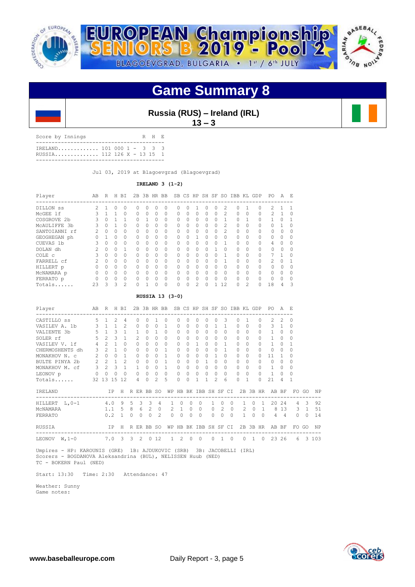



### **Game Summary 8**

### **Russia (RUS) – Ireland (IRL)**

**13 – 3**

Score by Innings R H E ----------------------------------------- IRELAND............. 101 000 1 - 3 3 3 RUSSIA.............. 112 126 X - 13 15 1 -----------------------------------------

Jul 03, 2019 at Blagoevgrad (Blagoevgrad)

#### **IRELAND 3 (1-2)**

| Player        | AB | R         | H            | BI             |          | 2B 3B HR BB  |          |              |   |          |                |           |         |                |          |                | SB CS HP SH SF SO IBB KL GDP | PO.            | A        | E.       |
|---------------|----|-----------|--------------|----------------|----------|--------------|----------|--------------|---|----------|----------------|-----------|---------|----------------|----------|----------------|------------------------------|----------------|----------|----------|
| DILLON SS     | 2  |           |              | 0              | O        | 0            | $\cup$   |              |   | Ω        |                |           |         | 2              | Ω        |                | 0                            | 2.             |          |          |
| MCGEE 1f      |    |           |              | $\Omega$       | $\Omega$ | 0            | $\Omega$ | $\Omega$     | Λ | $\Omega$ | 0              | $\Omega$  | 0       | $\mathcal{L}$  | $\Omega$ | $\Omega$       | 0                            | $\mathfrak{D}$ |          | $\Omega$ |
| COSGROVE 2b   |    |           |              |                | O        |              | $\Omega$ | $\Omega$     |   | $\Omega$ | $\Omega$       | $\cap$    |         |                | O        |                | 0                            |                | $\Omega$ |          |
| MCAULIFFE 3b  | 3  | $\Omega$  |              | $\Omega$       | $\Omega$ | <sup>0</sup> | $\Omega$ | $\Omega$     | ∩ | $\Omega$ | <sup>0</sup>   | $\bigcap$ | Ω       | $\mathfrak{D}$ | 0        | $\Omega$       | 0                            | $\Omega$       |          |          |
| SANTOIANNI rf | 2  | $\Omega$  | $\Omega$     | $\Omega$       | $\Omega$ | <sup>0</sup> | $\Omega$ | $\Omega$     |   | $\Omega$ | 0              | $\cap$    | 0       | $\mathfrak{D}$ | $\Omega$ | $\Omega$       | $\Omega$                     | $\Omega$       | 0        |          |
| GEOGHEGAN ph  |    |           | $\Omega$     | $\Omega$       | $\Omega$ | $\Omega$     | $\Omega$ | $\Omega$     |   | $\Omega$ |                | $\cap$    | Ω       | $\Omega$       | $\Omega$ | $\Omega$       | $\Omega$                     | $\Omega$       | $\Omega$ |          |
| CUEVAS 1b     | 3  | $\Omega$  | $\Omega$     | $\Omega$       | $\Omega$ | $\cap$       | $\Omega$ | <sup>0</sup> | ∩ | $\Omega$ | 0              | $\bigcap$ | $^{()}$ |                | $\Omega$ | $\Omega$       | $\Omega$                     | 4              | $\Omega$ |          |
| DOLAN dh      |    | $\cap$    | $\cap$       | 1              | $\Omega$ | $\cap$       | $\Omega$ | $\Omega$     |   | $\Omega$ | 0              |           |         | $\Omega$       | $\cap$   | $\Omega$       | $\Omega$                     | $\Omega$       | 0        |          |
| COLE c        |    | $\Omega$  | <sup>0</sup> | $\Omega$       | $\Omega$ | $\Omega$     | $\Omega$ | $\Omega$     |   | $\Omega$ | $\Omega$       | $\cap$    | Ω       |                | $\Omega$ | $\Omega$       | 0                            |                |          |          |
| FARRELL cf    | 2  | $\bigcap$ | $\Omega$     | $\Omega$       | $\Omega$ | $\cap$       | $\Omega$ | ∩            | ∩ | $\Omega$ | <sup>0</sup>   | $\cap$    | Ω       |                | 0        | $\Omega$       | 0                            | $\mathcal{L}$  | $\cap$   |          |
| HILLERT p     |    | $\Omega$  | $\Omega$     | $\Omega$       | $\Omega$ | $\cap$       | $\Omega$ | $\Omega$     |   | $\Omega$ | $\cap$         | $\cap$    | 0       | $\Omega$       | $\Omega$ | $\cap$         | $\Omega$                     | $\Omega$       | U        |          |
| MCNAMARA p    |    | $\Omega$  | <sup>0</sup> | $\Omega$       | $\Omega$ | $\cap$       | $\Omega$ | $\Omega$     |   | $\Omega$ | $\Omega$       | $\cap$    | 0       | $\Omega$       | $\Omega$ | $\Omega$       | $\Omega$                     | $\Omega$       | $\Omega$ |          |
| FERRATO p     | O  | $\Omega$  | $\Omega$     | $\Omega$       | $\Omega$ | $\cap$       | $\Omega$ | $\Omega$     | Λ | $\Omega$ | 0              | $\cap$    | O.      | $\Omega$       | $\Omega$ | $\Omega$       | $\Omega$                     | $\cap$         | $\Omega$ |          |
| Totals        | 23 | ς         | 3            | $\mathfrak{D}$ | $\Omega$ |              | $\cap$   | $\Omega$     |   | 0        | $\mathfrak{D}$ | $\cap$    |         | 12             | 0        | $\mathfrak{D}$ |                              | 18             | 4        |          |

#### **RUSSIA 13 (3-0)**

| Player                                                    | AB                    | R              |                | H BI          | 2B       |                | 3B HR BB                |                |                |                       |           |              |                                  |               |          |            |              | SB CS HP SH SF SO IBB KL GDP |                | PO.           | A              | F.             |                |           |
|-----------------------------------------------------------|-----------------------|----------------|----------------|---------------|----------|----------------|-------------------------|----------------|----------------|-----------------------|-----------|--------------|----------------------------------|---------------|----------|------------|--------------|------------------------------|----------------|---------------|----------------|----------------|----------------|-----------|
| CASTILLO SS                                               | 5                     | $\mathbf{1}$   | $\mathfrak{D}$ | 4             |          | $\cap$         | O.                      |                | <sup>0</sup>   | 0                     | 0         | <sup>0</sup> | $\Omega$                         |               | 3        |            | $\Omega$     |                              | $\Omega$       | $\mathcal{P}$ | $\mathcal{L}$  | 0              |                |           |
| VASILEV A. 1b                                             | 3                     | $\overline{1}$ |                | $\mathcal{L}$ |          | $\Omega$       | $\Omega$                | $\Omega$       | $\overline{1}$ | 0                     | $\Omega$  | $\Omega$     | $\begin{array}{c} \n\end{array}$ |               | 1        |            | $\bigcap$    | $\Omega$                     |                | 3             | $\overline{1}$ | 0              |                |           |
| VALIENTE 3b                                               | 5                     | $\overline{1}$ | 3              | 1             |          | $\mathbf{1}$   | $\Omega$                | $\mathbf{1}$   | $\Omega$       | 0                     | $\Omega$  | $\Omega$     | $\Omega$                         | $\Omega$      | $\Omega$ |            | $\Omega$     | $\Omega$                     |                | $\mathbf{1}$  | $\Omega$       | $\Omega$       |                |           |
| SOLER rf                                                  | 5                     | 2              | 3              | $\mathbf{1}$  |          | $\mathcal{L}$  | $\Omega$                | $\Omega$       | $\Omega$       | 0                     | 0         | $\Omega$     | $\begin{array}{c} \n\end{array}$ | $\Omega$      | $\Omega$ |            | $\Omega$     | $\Omega$                     | $\cap$         | $\mathbf{1}$  | $\Omega$       | 0              |                |           |
| VASILEV V. 1f                                             | $\overline{4}$        | $\mathcal{P}$  | $\mathbf{1}$   | $\Omega$      |          | $\Omega$       | 0                       | $\Omega$       | $\Omega$       | $\Omega$              | 0         | $\mathbf{1}$ | $\Omega$                         | $\Omega$      | 1        |            | $\Omega$     | $\Omega$                     | $\cap$         | $\mathbf{1}$  | $\Omega$       |                |                |           |
| CHERMOSHENTS dh                                           | 3                     | 2              | $\mathbf{1}$   | $\circ$       |          | $\Omega$       | 0                       | $\Omega$       | $\mathbf{1}$   | 0                     | $\Omega$  | 0            | $\Omega$                         | $\Omega$      | 1        |            | $\Omega$     | $\Omega$                     | $\cap$         | $\mathbf{0}$  | $\circ$        | 0              |                |           |
| MONAKHOV N. C                                             | $\overline{2}$        | $\Omega$       | $\Omega$       | 1             |          | $\Omega$       | 0                       | $\Omega$       | 1              | 0                     | 0         | $\Omega$     | $\Omega$                         |               | $\Omega$ |            | $\Omega$     | $\bigcap$                    | $\Omega$       | 11            | 1              | 0              |                |           |
| BULTE PINYA 2b                                            | $\mathbf{2}^{\prime}$ | 2              | $\mathbf{1}$   | $\mathcal{L}$ |          | $\Omega$       | 0                       | $\bigcap$      | 1              | 0                     | $\Omega$  | $\Omega$     | 1                                | $\Omega$      | $\Omega$ |            | $\Omega$     | $\Omega$                     |                | $\Omega$      | $\Omega$       | $\Omega$       |                |           |
| MONAKHOV M. cf                                            | $3 \quad 2$           |                | 3              | $\mathbf{1}$  |          | 1              | 0                       | $\Omega$       | 1              | 0                     | $\Omega$  | $\Omega$     | $\Omega$                         | $\Omega$      | $\Omega$ |            | $\Omega$     | $\Omega$                     | $\cap$         | $\mathbf{1}$  | $\Omega$       | $\Omega$       |                |           |
| LEONOV p                                                  | 0                     | $\Omega$       | $\Omega$       | $\Omega$      |          | $\Omega$       | $\Omega$                | $\Omega$       | $\Omega$       | 0                     | $\bigcap$ | $\Omega$     | $\Omega$                         | $\Omega$      | $\Omega$ |            | $\Omega$     | $\Omega$                     | $\cap$         | $\mathbf{1}$  | $\Omega$       | 0              |                |           |
| Totals                                                    |                       | 32 13 15 12    |                |               |          | 4              | 0                       | $\mathcal{L}$  | 5              | 0                     | $\Omega$  | $\mathbf{1}$ | 1                                | $\mathcal{L}$ | 6        |            | $\Omega$     | $\overline{1}$               | $\Omega$       | 21            | 4              |                |                |           |
| IRELAND                                                   |                       |                | IP             | H             |          |                | R ER BB SO              |                |                | WP HB BK IBB SH SF CI |           |              |                                  |               |          |            |              | 2B 3B HR                     |                |               | AB BF          | FO.            | GO             | <b>NP</b> |
| ----------------------------------<br>$L, 0-1$<br>HILLERT |                       | 4.0            |                | - 9           | 5        | 3 <sup>1</sup> | $\overline{\mathbf{3}}$ | $\overline{4}$ | 1              | $\Omega$              | $\Omega$  | $\Omega$     |                                  |               | $\Omega$ | $\Omega$   | $\mathbf{1}$ | $\circ$                      | $\overline{1}$ | 20            | 24             | $\overline{4}$ | 3              | 92        |
| MCNAMARA                                                  |                       | 1.1            |                | $5 \quad 8$   |          |                | 6 2                     | $\Omega$       | $\overline{2}$ | 1                     | $\Omega$  | 0            |                                  | $\circ$       | 2        | $\bigcirc$ |              | $2 \quad 0$                  | $\mathbf{1}$   |               | 8 1 3          | 3              | $\overline{1}$ | 51        |
| FERRATO                                                   |                       | 0.2            |                | 1             | $\Omega$ | $\Omega$       | $\Omega$                | $\mathfrak{D}$ | $\Omega$       | $\Omega$              | $\Omega$  | $\Omega$     |                                  | $\Omega$      | $\Omega$ | $\Omega$   | $\mathbf{1}$ | $\Omega$                     | $\Omega$       | 4             | 4              | $\Omega$       | $\Omega$       | 14        |
| RUSSIA                                                    |                       |                | IP             | H             |          |                | R ER BB SO              |                |                | WP HB BK IBB SH SF CI |           |              |                                  |               |          |            |              | 2B 3B HR                     |                |               | AB BF          |                | FO GO          | NP        |
| LEONOV<br>$W.1-0$                                         |                       | 7.0            |                | 3             | 3        | $\overline{2}$ |                         | 012            | $\mathbf{1}$   | $\mathfrak{D}$        | $\bigcap$ | $\Omega$     |                                  | 0             | 1        | $\bigcap$  | $\Omega$     | $\mathbf{1}$                 | $\Omega$       | 23            | 26             | 6              |                | 3 103     |

 Umpires - HP: KAROUNIS (GRE) 1B: AJDUKOVIC (SRB) 3B: JACOBELLI (IRL) Scorers - BOGDANOVA Aleksandrina (BUL), NELISSEN Huub (NED) TC - BOKERN Paul (NED)

Start: 13:30 Time: 2:30 Attendance: 47

 Weather: Sunny Game notes: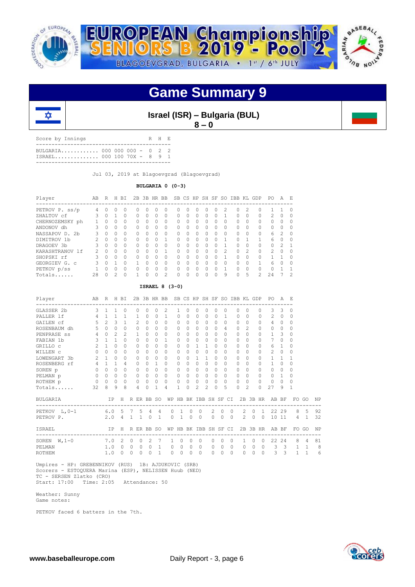

### **Game Summary 9**



**Israel (ISR) – Bulgaria (BUL) 8 – 0**

Score by Innings R H E ------------------------------------------- BULGARIA............. 000 000 000 - 0 2 2<br>ISRAEL.............. 000 100 70X - 8 9 1 ISRAEL.............. 000 100 70X - 8 9 1 -------------------------------------------

Jul 03, 2019 at Blagoevgrad (Blagoevgrad)

#### **BULGARIA 0 (0-3)**

| Player          | A <sub>B</sub> | R        | H. | <b>BT</b> |           |          | 2B 3B HR BB |               |              |              |          |              |          |               | SB CS HP SH SF SO IBB KL GDP |               |          | PO.           | A             | E.            |
|-----------------|----------------|----------|----|-----------|-----------|----------|-------------|---------------|--------------|--------------|----------|--------------|----------|---------------|------------------------------|---------------|----------|---------------|---------------|---------------|
| PETROV P. ss/p  | 4              | 0        | 0  | 0         |           | $^{(1)}$ | $\Omega$    |               | Ω            |              | O        | 0            | $\Omega$ |               | 0                            | 2             | 0        |               |               |               |
| ZHALTOV cf      | 3              | 0        |    | $\Omega$  | $\Omega$  | 0        | 0           | $\Omega$      | 0            | <sup>0</sup> | $\Omega$ | 0            | O        |               | Ω                            | $\Omega$      | $\Omega$ | 2             | $\Omega$      |               |
| CHERNOZEMSKY ph |                | 0        | 0  | 0         | $\Omega$  | 0        | 0           | 0             | $\Omega$     | ∩            | $\Omega$ | 0            | ∩        | <sup>n</sup>  | Ω                            | 0             | $\Omega$ | 0             | $\Omega$      |               |
| ANDONOV dh      |                | 0        | 0  | $\Omega$  | $\Omega$  | $\Omega$ | 0           | $\Omega$      | 0            | <sup>0</sup> | 0        | 0            | 0        | 0             | 0                            | $\Omega$      | $\Omega$ | 0             | $\Omega$      |               |
| NASSAPOV D. 2b  | Κ              | $\cap$   | 0  | $\Omega$  | $\Omega$  | U        | $\Omega$    | $\Omega$      | $\Omega$     | $\Omega$     | $\Omega$ | $\cap$       | $\Omega$ | $\cap$        | O                            | $\Omega$      | $\Omega$ | 6             | $\mathcal{P}$ | ∩             |
| DIMITROV 1b     |                | $\cap$   | 0  | $\Omega$  | $\Omega$  | U        | 0           |               | 0            | ∩            | 0        | <sup>0</sup> | ∩        |               | O                            |               |          | 6             | $\Omega$      | $\cap$        |
| DRAGOEV 3b      |                | $\Omega$ | 0  | $\Omega$  | $\Omega$  | U        | $\Omega$    | $\Omega$      | 0            | $\cap$       | O        | 0            | $\Omega$ |               | O                            | $\Omega$      | $\Omega$ | 0             | $\mathcal{P}$ |               |
| KARASHTRANOV 1f | $\mathcal{P}$  | $\cap$   | U  | $\Omega$  | $\Omega$  | U        | 0           | 1             | <sup>n</sup> | ∩            | $\cap$   | $\cap$       | $\Omega$ | $\mathcal{P}$ | 0                            | $\mathcal{D}$ | $\Omega$ | $\mathcal{P}$ | $\cap$        |               |
| SHOPSKI rf      |                | $\Omega$ | 0  | $\Omega$  | $\Omega$  | U        | $\Omega$    | $\Omega$      | $\Omega$     | $\cap$       | O        | $\cap$       | ∩        |               | O                            | $\Omega$      | $\cap$   |               |               |               |
| GEORGIEV G. C   |                | U        |    | $\Omega$  |           | U        | $\Omega$    | $\Omega$      | $\Omega$     |              | O        | $\Omega$     | $\Omega$ |               | O                            | $\Omega$      | 1        | 6             | $\cap$        |               |
| PETKOV p/ss     |                | U        | 0  | $\Omega$  | $\bigcap$ | U        | $\Omega$    | $\Omega$      | $\cap$       | $\cap$       | O        | $\cap$       | ∩        |               | Ω                            | $\cap$        | $\Omega$ | O             |               |               |
| Totals          | 28             | ∩        | 2  | $\Omega$  |           | Λ        | O           | $\mathcal{L}$ | Ω            |              | ∩        | O            | O        | 9             | O                            | 5             | 2        | 2.4           |               | $\mathcal{P}$ |

#### **ISRAEL 8 (3-0)**

| Player<br>_____________________________ | AB R H BI      |                |                |                |                            |                |                |                | 2B 3B HR BB SB CS HP SH SF SO IBB KL GDP<br>------------------- |                       |           |                |                |                |              |           |           |                            |          |                | PO.<br>___________________________   | A F.                    |                |                |    |
|-----------------------------------------|----------------|----------------|----------------|----------------|----------------------------|----------------|----------------|----------------|-----------------------------------------------------------------|-----------------------|-----------|----------------|----------------|----------------|--------------|-----------|-----------|----------------------------|----------|----------------|--------------------------------------|-------------------------|----------------|----------------|----|
| GLASSER 2b                              | 3              | $\mathbf{1}$   | $\mathbf{1}$   | $\Omega$       | $\Omega$                   |                | 0              | $\bigcap$      | $\mathfrak{D}$                                                  | 1.                    | $\Omega$  | $\Omega$       | $\Omega$       | $\Omega$       |              | $\Omega$  | $\Omega$  | $\Omega$                   |          | $\Omega$       | 3                                    | 3                       | $\Omega$       |                |    |
| PALLER 1f                               | 4              | $\mathbf{1}$   | $\mathbf{1}$   | 1              | 1                          |                | $\Omega$       | $\Omega$       | $\mathbf{1}$                                                    | $\Omega$              | $\Omega$  | $\Omega$       | $\Omega$       | $\Omega$       |              | 1         | $\bigcap$ | $\Omega$                   |          | $\cap$         | $\mathfrak{D}$                       | $\Omega$                | $\Omega$       |                |    |
| GAILEN cf                               | 5              | $\mathcal{L}$  | 3              | 1              |                            | $\mathcal{L}$  | 0              | $\bigcap$      | $\Omega$                                                        | 0                     | $\Omega$  | $\Omega$       | $\bigcap$      | $\Omega$       |              | $\Omega$  | $\bigcap$ | $\Omega$                   |          | $\cap$         | 4                                    | $\Omega$                | $\Omega$       |                |    |
| ROSENBAUM dh                            | 5              | $\circ$        | $\Omega$       | $\Omega$       |                            | $\Omega$       | 0              | $\Omega$       | $\Omega$                                                        | 0                     | $\Omega$  | 0              | $\Omega$       | $\Omega$       |              | 4         | $\Omega$  | $\mathfrak{D}$             |          | $\cap$         | $\Omega$                             | $\Omega$                | $\Omega$       |                |    |
| PENPRASE ss                             | $\overline{4}$ | $\cap$         | $\mathfrak{D}$ | $\mathcal{L}$  | 1                          |                | 0              | $\bigcap$      | $\Omega$                                                        | 0                     | $\bigcap$ | $\Omega$       | $\bigcap$      | $\Omega$       |              | $\Omega$  | $\Omega$  | $\Omega$                   |          | $\cap$         | 1                                    | 3                       | $\Omega$       |                |    |
| FABIAN 1b                               |                | $3 \quad 1$    | $\mathbf{1}$   | $\cap$         |                            | $\bigcap$      | 0              | $\cap$         | $\mathbf{1}$                                                    | 0                     | $\cap$    | $\Omega$       | $\bigcap$      | $\Omega$       |              | $\Omega$  | $\Omega$  | $\cap$                     |          | $\cap$         | 7                                    | $\Omega$                | $\Omega$       |                |    |
| GRILLO C                                | $\overline{c}$ | $\mathbf{1}$   | $\Omega$       | $\Omega$       | $\Omega$                   |                | 0              | $\Omega$       | $\Omega$                                                        | 0                     | $\Omega$  | $\mathbf{1}$   | 1              | $\Omega$       |              | $\Omega$  | $\Omega$  | $\Omega$                   |          | $\Omega$       | 6                                    | 1                       | $\Omega$       |                |    |
| WILLEN C                                | $\Omega$       | $\bigcap$      | $\Omega$       | 0              | $\Omega$                   |                | 0              | $\Omega$       | $\Omega$                                                        | 0                     | $\Omega$  | $\Omega$       | $\Omega$       | $\Omega$       |              | $\Omega$  | $\Omega$  | $\Omega$                   |          | <sup>0</sup>   | $\mathfrak{D}$                       | $\Omega$                | $\Omega$       |                |    |
| LOWENGART 3b                            | 2              | $\overline{1}$ | $\Omega$       | 0              | $\Omega$                   |                | 0              | $\Omega$       | $\Omega$                                                        | 0                     | $\Omega$  | $\mathbf{1}$   | $\overline{1}$ | $\Omega$       |              | $\Omega$  | $\Omega$  | $\bigcap$                  |          | $\cap$         | 1                                    | 1                       |                |                |    |
| ROSENBERG rf                            |                | $4 \quad 1$    | $\mathbf{1}$   | 4              | $\Omega$                   |                | 0              | 1              | $\Omega$                                                        | 0                     | $\Omega$  | $\Omega$       | $\Omega$       | $\Omega$       |              | $\Omega$  | $\Omega$  | $\Omega$                   |          | $\cap$         | 1                                    | $\Omega$                | $\Omega$       |                |    |
| SOREN p                                 | $\Omega$       | $\Omega$       | $\Omega$       | 0              | $\Omega$                   |                | 0              | $\Omega$       | $\Omega$                                                        | 0                     | $\bigcap$ | $\Omega$       | $\Omega$       | $\Omega$       |              | $\Omega$  | $\Omega$  | $\Omega$                   |          | <sup>0</sup>   | $\Omega$                             | $\Omega$                | $\Omega$       |                |    |
| PELMAN p                                |                | $0 \quad 0$    | $\Omega$       | $\Omega$       | $\Omega$                   |                | $\Omega$       | $\Omega$       | $\Omega$                                                        | $\Omega$              | $\Omega$  | $\Omega$       | $\Omega$       | $\Omega$       |              | 0         | $\cap$    | $\bigcap$                  |          | $\cap$         | $\Omega$                             | $\mathbf{1}$            | $\Omega$       |                |    |
| ROTHEM p                                | $\circ$        | $\Omega$       | $\Omega$       | $\Omega$       |                            | $\Omega$       | 0              | $\Omega$       | $\Omega$                                                        | 0                     | $\Omega$  | $\circ$        | $\Omega$       | $\Omega$       |              | $\Omega$  | $\Omega$  | $\bigcap$                  |          | $\Omega$       | $\mathbf{0}$                         | $\Omega$                | $\Omega$       |                |    |
| Totals                                  | 32             | 8              | 9              | 8              |                            | 4              | 0              | 1              | $\overline{4}$                                                  | 1.                    | $\Omega$  | $\mathfrak{D}$ | $\mathcal{D}$  | $\Omega$       |              | 5         | $\Omega$  | $\mathfrak{D}$             |          | $\Omega$       | 27                                   | 9                       | 1              |                |    |
| BULGARIA                                |                |                | TP             |                | H R ER BB SO               |                |                |                |                                                                 | WP HB BK IBB SH SF CI |           |                |                |                |              |           |           | 2B 3B HR                   |          |                | AB BF                                |                         |                | FO GO          | NP |
| PETKOV L, 0-1                           | 6.05           |                |                |                | 7                          |                | 5 <sub>4</sub> | $\overline{4}$ | $\Omega$                                                        | $\overline{1}$        | $\Omega$  | $\circ$        |                | $\overline{2}$ | $\Omega$     | $\Omega$  |           | $\overline{2}$<br>$\Omega$ |          | $\overline{1}$ |                                      | 22 29                   | 8              | $-5$           | 92 |
| PETROV P.                               |                | 2.0            |                | $\overline{4}$ | $\overline{1}$             | $\overline{1}$ | $\Omega$       | $\mathbf{1}$   | $\Omega$                                                        | $\overline{1}$        | $\Omega$  | $\Omega$       |                | $\Omega$       | $\Omega$     | $\Omega$  |           | $2^{\circ}$<br>$\Omega$    |          | $\Omega$       |                                      | 10 11                   | $\overline{4}$ | $\mathbf{1}$   | 32 |
| ISRAEL<br>__________________________    |                |                | IP             | H              | R ER BB SO<br>------------ |                |                |                |                                                                 | WP HB BK IBB SH SF CI |           |                |                |                |              |           |           | 2B 3B HR                   |          |                | AB BF<br>--------------------------- |                         | $_{\rm FO}$    | GO             | NP |
| SOREN $W, 1-0$                          |                | 7.0            |                | $\overline{2}$ | $\circ$                    | $\Omega$       | $\mathcal{L}$  | 7              | 1                                                               | $\Omega$              | $\Omega$  | $\Omega$       |                | $\Omega$       | $\Omega$     | $\bigcap$ |           | $\mathbf{1}$<br>$\Omega$   |          | $\bigcap$      | 22.2                                 | 2.4                     | 8              | $\overline{4}$ | 81 |
| PELMAN                                  |                | 1.0            |                | $\Omega$       | $\mathbf{0}$               | $\mathbf{0}$   | $\circ$        | $\mathbf{1}$   | $\circ$                                                         | $\circ$               | $\circ$   | $\circ$        |                | $\circ$        | $\mathbf{0}$ | $\Omega$  |           | $\circ$<br>$\circ$         |          | $\circ$        | 3                                    | $\overline{\mathbf{3}}$ | $\mathbf{1}$   | 1              | 8  |
| <b>ROTHEM</b>                           |                | 1.0            |                | 0              | $\Omega$                   | $\Omega$       | $\Omega$       | $\mathbf{1}$   | $\Omega$                                                        | $\Omega$              | $\Omega$  | $\Omega$       |                | $\Omega$       | $\Omega$     | $\Omega$  |           | $\Omega$                   | $\Omega$ | $\Omega$       | 3                                    | 3                       | 1              | 1              | 6  |

 Umpires - HP: GREBENNIKOV (RUS) 1B: AJDUKOVIC (SRB) Scorers - ESTOQUERA Marina (ESP), NELISSEN Huub (NED) TC - SERSEN Zlatko (CRO) Start: 17:00 Time: 2:05 Attendance: 50

 Weather: Sunny Game notes:

PETKOV faced 6 batters in the 7th.

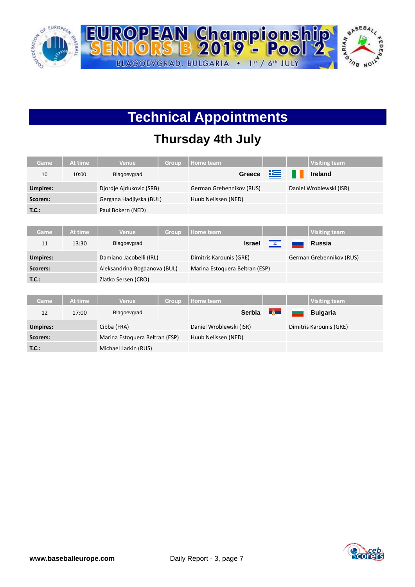

# **Technical Appointments**

### **Thursday 4th July**

| Game            | At time | <b>Venue</b>                 | Group | <b>Home team</b>               |                      |   | <b>Visiting team</b>     |
|-----------------|---------|------------------------------|-------|--------------------------------|----------------------|---|--------------------------|
| 10              | 10:00   | Blagoevgrad                  |       | <b>Greece</b>                  | 垤                    | H | <b>Ireland</b>           |
| <b>Umpires:</b> |         | Djordje Ajdukovic (SRB)      |       | German Grebennikov (RUS)       |                      |   | Daniel Wroblewski (ISR)  |
| <b>Scorers:</b> |         | Gergana Hadjiyska (BUL)      |       | Huub Nelissen (NED)            |                      |   |                          |
| T.C.:           |         | Paul Bokern (NED)            |       |                                |                      |   |                          |
|                 |         |                              |       |                                |                      |   |                          |
| Game            | At time | <b>Venue</b>                 | Group | <b>Home team</b>               |                      |   | <b>Visiting team</b>     |
| 11              | 13:30   | Blagoevgrad                  |       | <b>Israel</b>                  | $\frac{1}{\sqrt{2}}$ |   | <b>Russia</b>            |
| <b>Umpires:</b> |         | Damiano Jacobelli (IRL)      |       | Dimitris Karounis (GRE)        |                      |   | German Grebennikov (RUS) |
| <b>Scorers:</b> |         | Aleksandrina Bogdanova (BUL) |       | Marina Estoquera Beltran (ESP) |                      |   |                          |
| T.C.:           |         | Zlatko Sersen (CRO)          |       |                                |                      |   |                          |
|                 |         |                              |       |                                |                      |   |                          |
| Game            | At time | <b>Venue</b>                 | Group | <b>Home team</b>               |                      |   | <b>Visiting team</b>     |
| 12              | 17.00   | <b>Rlagoovarad</b>           |       | <b>Sarhis</b>                  | $-\frac{20}{100}$    |   | <b>Rulgaria</b>          |

|          | 17:00 | Blagoevgrad                    | Serbia <b>Experience</b> | <b>Bulgaria</b>         |
|----------|-------|--------------------------------|--------------------------|-------------------------|
| Umpires: |       | Cibba (FRA)                    | Daniel Wroblewski (ISR)  | Dimitris Karounis (GRE) |
| Scorers: |       | Marina Estoguera Beltran (ESP) | Huub Nelissen (NED)      |                         |
| T.C.:    |       | Michael Larkin (RUS)           |                          |                         |